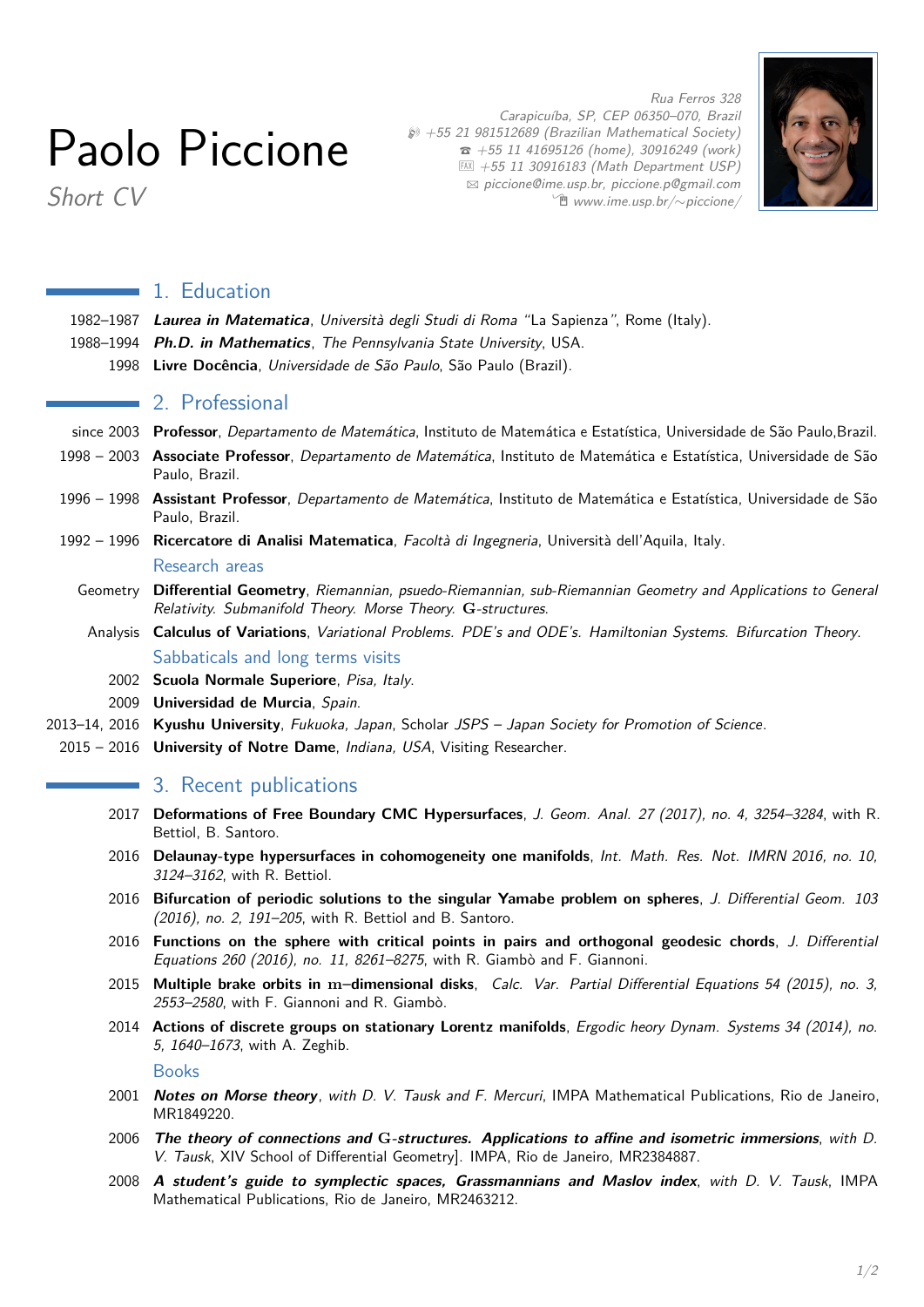# Paolo Piccione

Carapicuíba, SP, CEP 06350–070, Brazil  $$$  +55 21 981512689 (Brazilian Mathematical Society)  $\hat{z}$  +55 11 41695126 (home), 30916249 (work)  $EM + 55 11 30916183$  (Math Department USP)  $\boxtimes$  [piccione@ime.usp.br, piccione.p@gmail.com](mailto:piccione@ime.usp.br, piccione.p@gmail.com) Í [www.ime.usp.br/](http://www.ime.usp.br/~piccione/)∼piccione/



Rua Ferros 328

Short CV

#### **1. Education**

- 1982–1987 **Laurea in Matematica**, Università degli Studi di Roma "La Sapienza", Rome (Italy).
- 1988–1994 **Ph.D. in Mathematics**, The Pennsylvania State University, USA.
	- 1998 **Livre Docência**, Universidade de São Paulo, São Paulo (Brazil).

## 2. Professional

- since 2003 **Professor**, Departamento de Matemática, Instituto de Matemática e Estatística, Universidade de São Paulo,Brazil.
- 1998 2003 **Associate Professor**, Departamento de Matemática, Instituto de Matemática e Estatística, Universidade de São Paulo, Brazil.
- 1996 1998 **Assistant Professor**, Departamento de Matemática, Instituto de Matemática e Estatística, Universidade de São Paulo, Brazil.
- 1992 1996 **Ricercatore di Analisi Matematica**, Facoltà di Ingegneria, Università dell'Aquila, Italy. Research areas
	- Geometry **Differential Geometry**, Riemannian, psuedo-Riemannian, sub-Riemannian Geometry and Applications to General Relativity. Submanifold Theory. Morse Theory. **G**-structures.
		- Analysis **Calculus of Variations**, Variational Problems. PDE's and ODE's. Hamiltonian Systems. Bifurcation Theory. Sabbaticals and long terms visits
			- 2002 **Scuola Normale Superiore**, Pisa, Italy.
	- 2009 **Universidad de Murcia**, Spain.
- 2013–14, 2016 **Kyushu University**, Fukuoka, Japan, Scholar JSPS Japan Society for Promotion of Science.
- 2015 2016 **University of Notre Dame**, Indiana, USA, Visiting Researcher.

#### **3. Recent publications**

- 2017 **Deformations of Free Boundary CMC Hypersurfaces**, J. Geom. Anal. 27 (2017), no. 4, 3254–3284, with R. Bettiol, B. Santoro.
- 2016 **Delaunay-type hypersurfaces in cohomogeneity one manifolds**, Int. Math. Res. Not. IMRN 2016, no. 10, 3124–3162, with R. Bettiol.
- 2016 **Bifurcation of periodic solutions to the singular Yamabe problem on spheres**, J. Differential Geom. 103 (2016), no. 2, 191–205, with R. Bettiol and B. Santoro.
- 2016 **Functions on the sphere with critical points in pairs and orthogonal geodesic chords**, J. Differential Equations 260 (2016), no. 11, 8261–8275, with R. Giambò and F. Giannoni.
- 2015 **Multiple brake orbits in m–dimensional disks**, Calc. Var. Partial Differential Equations 54 (2015), no. 3, 2553–2580, with F. Giannoni and R. Giambò.
- 2014 **Actions of discrete groups on stationary Lorentz manifolds**, Ergodic heory Dynam. Systems 34 (2014), no. 5, 1640–1673, with A. Zeghib.

Books

- 2001 **Notes on Morse theory**, with D. V. Tausk and F. Mercuri, IMPA Mathematical Publications, Rio de Janeiro, [MR1849220.](http://www.ams.org/mathscinet/search/publdoc.html?arg3=&co4=AND&co5=AND&co6=AND&co7=AND&dr=all&pg4=RVCN&pg5=AUCN&pg6=PC&pg7=ALLF&pg8=ET&review_format=html&s4=&s5=piccione&s6=&s7=&s8=Books&vfpref=html&yearRangeFirst=&yearRangeSecond=&yrop=eq&r=3&mx-pid=1849220)
- 2006 **The theory of connections and G-structures. Applications to affine and isometric immersions**, with D. V. Tausk, XIV School of Differential Geometry]. IMPA, Rio de Janeiro, [MR2384887.](http://www.ams.org/mathscinet/search/publdoc.html?arg3=&co4=AND&co5=AND&co6=AND&co7=AND&dr=all&pg4=RVCN&pg5=AUCN&pg6=PC&pg7=ALLF&pg8=ET&review_format=html&s4=&s5=piccione&s6=&s7=&s8=Books&vfpref=html&yearRangeFirst=&yearRangeSecond=&yrop=eq&r=2&mx-pid=2384887)
- 2008 **A student's guide to symplectic spaces, Grassmannians and Maslov index**, with D. V. Tausk, IMPA Mathematical Publications, Rio de Janeiro, [MR2463212.](http://www.ams.org/mathscinet/search/publdoc.html?arg3=&co4=AND&co5=AND&co6=AND&co7=AND&dr=all&pg4=RVCN&pg5=AUCN&pg6=PC&pg7=ALLF&pg8=ET&review_format=html&s4=&s5=piccione&s6=&s7=&s8=Books&vfpref=html&yearRangeFirst=&yearRangeSecond=&yrop=eq&r=1&mx-pid=2463212)